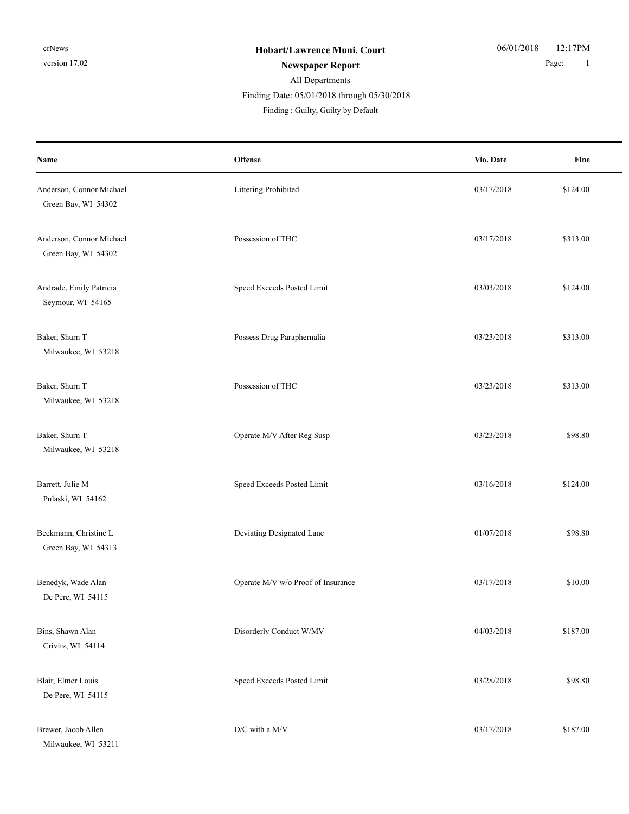Milwaukee, WI 53211

## All Departments Finding : Guilty, Guilty by Default Finding Date: 05/01/2018 through 05/30/2018

| Name                                            | Offense                            | Vio. Date  | Fine     |
|-------------------------------------------------|------------------------------------|------------|----------|
| Anderson, Connor Michael<br>Green Bay, WI 54302 | Littering Prohibited               | 03/17/2018 | \$124.00 |
| Anderson, Connor Michael<br>Green Bay, WI 54302 | Possession of THC                  | 03/17/2018 | \$313.00 |
| Andrade, Emily Patricia<br>Seymour, WI 54165    | Speed Exceeds Posted Limit         | 03/03/2018 | \$124.00 |
| Baker, Shurn T<br>Milwaukee, WI 53218           | Possess Drug Paraphernalia         | 03/23/2018 | \$313.00 |
| Baker, Shurn T<br>Milwaukee, WI 53218           | Possession of THC                  | 03/23/2018 | \$313.00 |
| Baker, Shurn T<br>Milwaukee, WI 53218           | Operate M/V After Reg Susp         | 03/23/2018 | \$98.80  |
| Barrett, Julie M<br>Pulaski, WI 54162           | Speed Exceeds Posted Limit         | 03/16/2018 | \$124.00 |
| Beckmann, Christine L<br>Green Bay, WI 54313    | Deviating Designated Lane          | 01/07/2018 | \$98.80  |
| Benedyk, Wade Alan<br>De Pere, WI 54115         | Operate M/V w/o Proof of Insurance | 03/17/2018 | \$10.00  |
| Bins, Shawn Alan<br>Crivitz, WI 54114           | Disorderly Conduct W/MV            | 04/03/2018 | \$187.00 |
| Blair, Elmer Louis<br>De Pere, WI 54115         | Speed Exceeds Posted Limit         | 03/28/2018 | \$98.80  |
| Brewer, Jacob Allen                             | $\mathrm{D}/\mathrm{C}$ with a M/V | 03/17/2018 | \$187.00 |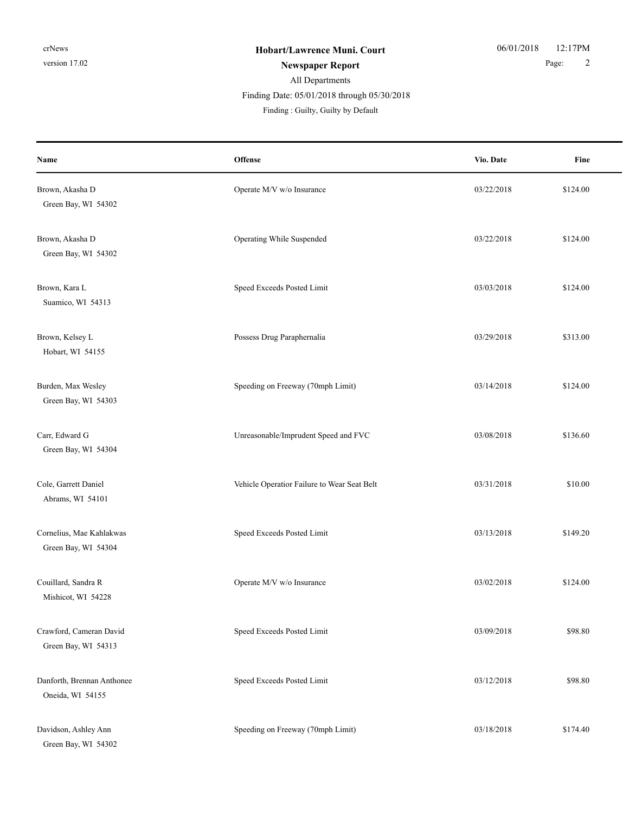## All Departments

Finding Date: 05/01/2018 through 05/30/2018

| Name                                            | <b>Offense</b>                              | Vio. Date  | Fine     |
|-------------------------------------------------|---------------------------------------------|------------|----------|
| Brown, Akasha D<br>Green Bay, WI 54302          | Operate M/V w/o Insurance                   | 03/22/2018 | \$124.00 |
| Brown, Akasha D<br>Green Bay, WI 54302          | Operating While Suspended                   | 03/22/2018 | \$124.00 |
| Brown, Kara L<br>Suamico, WI 54313              | Speed Exceeds Posted Limit                  | 03/03/2018 | \$124.00 |
| Brown, Kelsey L<br>Hobart, WI 54155             | Possess Drug Paraphernalia                  | 03/29/2018 | \$313.00 |
| Burden, Max Wesley<br>Green Bay, WI 54303       | Speeding on Freeway (70mph Limit)           | 03/14/2018 | \$124.00 |
| Carr, Edward G<br>Green Bay, WI 54304           | Unreasonable/Imprudent Speed and FVC        | 03/08/2018 | \$136.60 |
| Cole, Garrett Daniel<br>Abrams, WI 54101        | Vehicle Operatior Failure to Wear Seat Belt | 03/31/2018 | \$10.00  |
| Cornelius, Mae Kahlakwas<br>Green Bay, WI 54304 | Speed Exceeds Posted Limit                  | 03/13/2018 | \$149.20 |
| Couillard, Sandra R<br>Mishicot, WI 54228       | Operate M/V w/o Insurance                   | 03/02/2018 | \$124.00 |
| Crawford, Cameran David<br>Green Bay, WI 54313  | Speed Exceeds Posted Limit                  | 03/09/2018 | \$98.80  |
| Danforth, Brennan Anthonee<br>Oneida, WI 54155  | Speed Exceeds Posted Limit                  | 03/12/2018 | \$98.80  |
| Davidson, Ashley Ann<br>Green Bay, WI 54302     | Speeding on Freeway (70mph Limit)           | 03/18/2018 | \$174.40 |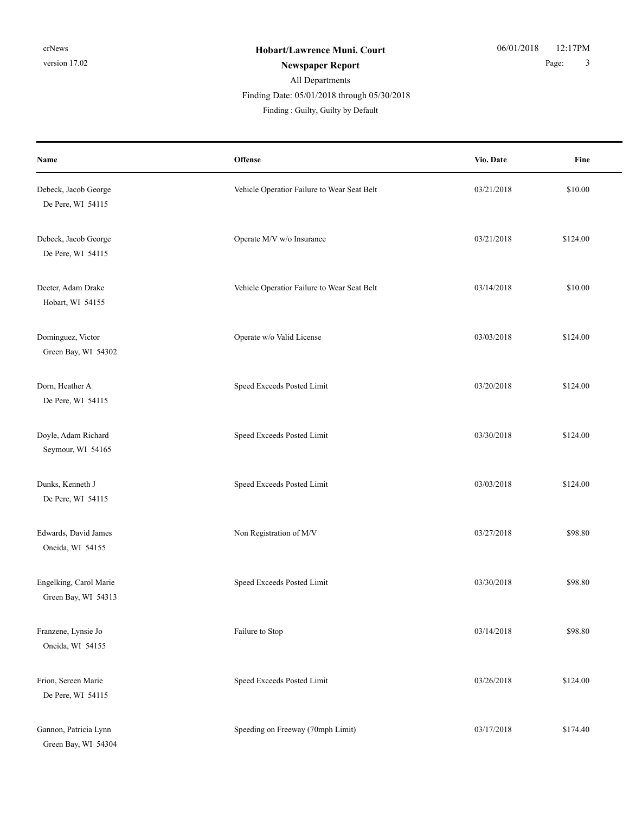| Name                                          | Offense                                     | Vio. Date  | Fine     |
|-----------------------------------------------|---------------------------------------------|------------|----------|
| Debeck, Jacob George<br>De Pere, WI 54115     | Vehicle Operatior Failure to Wear Seat Belt | 03/21/2018 | \$10.00  |
| Debeck, Jacob George<br>De Pere, WI 54115     | Operate M/V w/o Insurance                   | 03/21/2018 | \$124.00 |
| Deeter, Adam Drake<br>Hobart, WI 54155        | Vehicle Operatior Failure to Wear Seat Belt | 03/14/2018 | \$10.00  |
| Dominguez, Victor<br>Green Bay, WI 54302      | Operate w/o Valid License                   | 03/03/2018 | \$124.00 |
| Dorn, Heather A<br>De Pere, WI 54115          | Speed Exceeds Posted Limit                  | 03/20/2018 | \$124.00 |
| Doyle, Adam Richard<br>Seymour, WI 54165      | Speed Exceeds Posted Limit                  | 03/30/2018 | \$124.00 |
| Dunks, Kenneth J<br>De Pere, WI 54115         | Speed Exceeds Posted Limit                  | 03/03/2018 | \$124.00 |
| Edwards, David James<br>Oneida, WI 54155      | Non Registration of M/V                     | 03/27/2018 | \$98.80  |
| Engelking, Carol Marie<br>Green Bay, WI 54313 | Speed Exceeds Posted Limit                  | 03/30/2018 | \$98.80  |
| Franzene, Lynsie Jo<br>Oneida, WI 54155       | Failure to Stop                             | 03/14/2018 | \$98.80  |
| Frion, Sereen Marie<br>De Pere, WI 54115      | Speed Exceeds Posted Limit                  | 03/26/2018 | \$124.00 |
| Gannon, Patricia Lynn<br>Green Bay, WI 54304  | Speeding on Freeway (70mph Limit)           | 03/17/2018 | \$174.40 |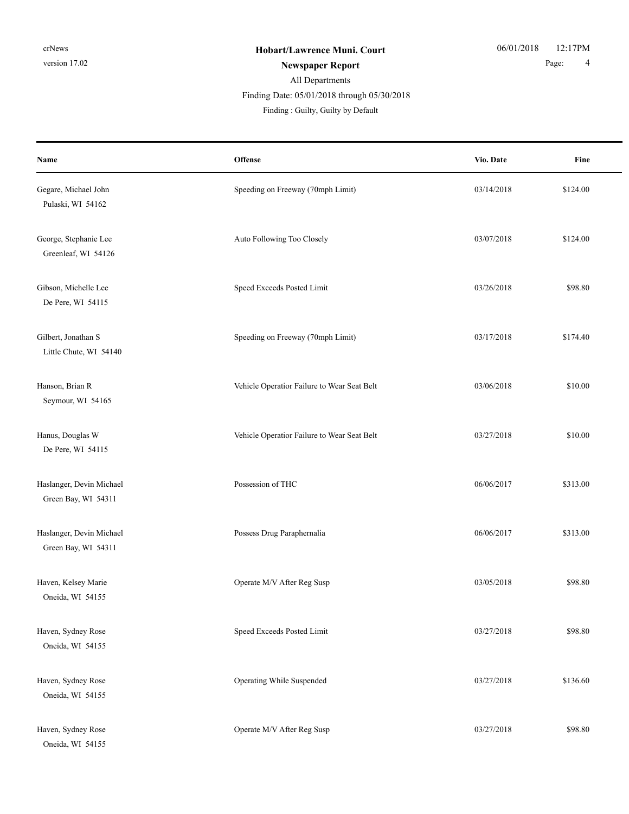## All Departments Finding : Guilty, Guilty by Default Finding Date: 05/01/2018 through 05/30/2018

| Name                                            | Offense                                     | Vio. Date  | Fine     |
|-------------------------------------------------|---------------------------------------------|------------|----------|
| Gegare, Michael John<br>Pulaski, WI 54162       | Speeding on Freeway (70mph Limit)           | 03/14/2018 | \$124.00 |
| George, Stephanie Lee<br>Greenleaf, WI 54126    | Auto Following Too Closely                  | 03/07/2018 | \$124.00 |
| Gibson, Michelle Lee<br>De Pere, WI 54115       | Speed Exceeds Posted Limit                  | 03/26/2018 | \$98.80  |
| Gilbert, Jonathan S<br>Little Chute, WI 54140   | Speeding on Freeway (70mph Limit)           | 03/17/2018 | \$174.40 |
| Hanson, Brian R<br>Seymour, WI 54165            | Vehicle Operatior Failure to Wear Seat Belt | 03/06/2018 | \$10.00  |
| Hanus, Douglas W<br>De Pere, WI 54115           | Vehicle Operatior Failure to Wear Seat Belt | 03/27/2018 | \$10.00  |
| Haslanger, Devin Michael<br>Green Bay, WI 54311 | Possession of THC                           | 06/06/2017 | \$313.00 |
| Haslanger, Devin Michael<br>Green Bay, WI 54311 | Possess Drug Paraphernalia                  | 06/06/2017 | \$313.00 |
| Haven, Kelsey Marie<br>Oneida, WI 54155         | Operate M/V After Reg Susp                  | 03/05/2018 | \$98.80  |
| Haven, Sydney Rose<br>Oneida, WI 54155          | Speed Exceeds Posted Limit                  | 03/27/2018 | \$98.80  |
| Haven, Sydney Rose<br>Oneida, WI 54155          | Operating While Suspended                   | 03/27/2018 | \$136.60 |
| Haven, Sydney Rose<br>Oneida, WI 54155          | Operate M/V After Reg Susp                  | 03/27/2018 | \$98.80  |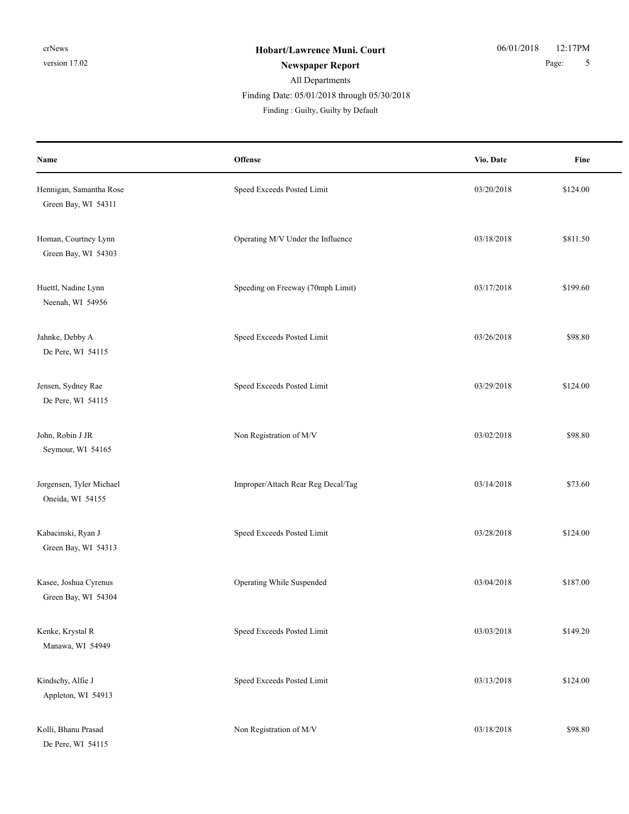| Name                                           | Offense                            | Vio. Date  | Fine     |
|------------------------------------------------|------------------------------------|------------|----------|
| Hennigan, Samantha Rose<br>Green Bay, WI 54311 | Speed Exceeds Posted Limit         | 03/20/2018 | \$124.00 |
| Homan, Courtney Lynn<br>Green Bay, WI 54303    | Operating M/V Under the Influence  | 03/18/2018 | \$811.50 |
| Huettl, Nadine Lynn<br>Neenah, WI 54956        | Speeding on Freeway (70mph Limit)  | 03/17/2018 | \$199.60 |
| Jahnke, Debby A<br>De Pere, WI 54115           | Speed Exceeds Posted Limit         | 03/26/2018 | \$98.80  |
| Jensen, Sydney Rae<br>De Pere, WI 54115        | Speed Exceeds Posted Limit         | 03/29/2018 | \$124.00 |
| John, Robin J JR<br>Seymour, WI 54165          | Non Registration of M/V            | 03/02/2018 | \$98.80  |
| Jorgensen, Tyler Michael<br>Oneida, WI 54155   | Improper/Attach Rear Reg Decal/Tag | 03/14/2018 | \$73.60  |
| Kabacinski, Ryan J<br>Green Bay, WI 54313      | Speed Exceeds Posted Limit         | 03/28/2018 | \$124.00 |
| Kasee, Joshua Cyrenus<br>Green Bay, WI 54304   | Operating While Suspended          | 03/04/2018 | \$187.00 |
| Kenke, Krystal R<br>Manawa, WI 54949           | Speed Exceeds Posted Limit         | 03/03/2018 | \$149.20 |
| Kindschy, Alfie J<br>Appleton, WI 54913        | Speed Exceeds Posted Limit         | 03/13/2018 | \$124.00 |
| Kolli, Bhanu Prasad<br>De Pere, WI 54115       | Non Registration of M/V            | 03/18/2018 | \$98.80  |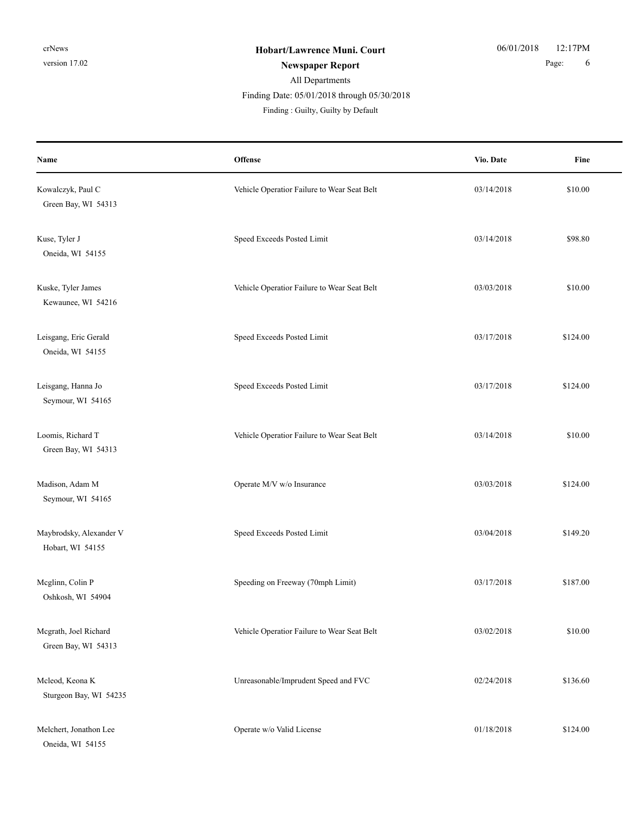#### All Departments Finding : Guilty, Guilty by Default Finding Date: 05/01/2018 through 05/30/2018

**Offense** Fine **Name Vio. Date** Kowalczyk, Paul C 610.00 Chicle Operatior Failure to Wear Seat Belt 03/14/2018 \$10.00 Green Bay, WI 54313 Kuse, Tyler J Speed Exceeds Posted Limit 63/14/2018 \$98.80 Oneida, WI 54155 Kuske, Tyler James **State State State Operation Control** Vehicle Operatior Failure to Wear Seat Belt 03/03/2018 \$10.00 Kewaunee, WI 54216 Leisgang, Eric Gerald Speed Exceeds Posted Limit 03/17/2018 \$124.00 Oneida, WI 54155 Leisgang, Hanna Jo Speed Exceeds Posted Limit 03/17/2018 \$124.00 Seymour, WI 54165 Loomis, Richard T Vehicle Operatior Failure to Wear Seat Belt 03/14/2018 \$10.00 Green Bay, WI 54313 Madison, Adam M Cherate M/V w/o Insurance 03/03/2018 \$124.00 Seymour, WI 54165 Maybrodsky, Alexander V Speed Exceeds Posted Limit 03/04/2018 \$149.20 Hobart, WI 54155 Mcglinn, Colin P Speeding on Freeway (70mph Limit) 03/17/2018 \$187.00 Oshkosh, WI 54904 Mcgrath, Joel Richard S10.00 (Vehicle Operatior Failure to Wear Seat Belt 03/02/2018 \$10.00 Green Bay, WI 54313 Mcleod, Keona K **Unreasonable/Imprudent Speed and FVC** 02/24/2018 \$136.60 Sturgeon Bay, WI 54235 Melchert, Jonathon Lee **Operate w**/o Valid License **01/18/2018** \$124.00 Oneida, WI 54155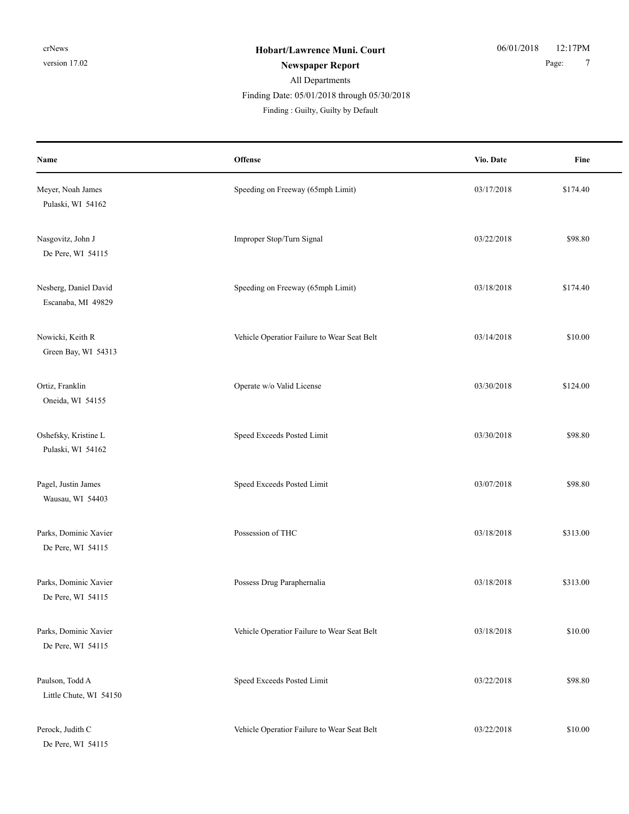## All Departments Finding : Guilty, Guilty by Default Finding Date: 05/01/2018 through 05/30/2018

| Name                                        | Offense                                     | Vio. Date  | Fine     |
|---------------------------------------------|---------------------------------------------|------------|----------|
| Meyer, Noah James<br>Pulaski, WI 54162      | Speeding on Freeway (65mph Limit)           | 03/17/2018 | \$174.40 |
| Nasgovitz, John J<br>De Pere, WI 54115      | Improper Stop/Turn Signal                   | 03/22/2018 | \$98.80  |
| Nesberg, Daniel David<br>Escanaba, MI 49829 | Speeding on Freeway (65mph Limit)           | 03/18/2018 | \$174.40 |
| Nowicki, Keith R<br>Green Bay, WI 54313     | Vehicle Operatior Failure to Wear Seat Belt | 03/14/2018 | \$10.00  |
| Ortiz, Franklin<br>Oneida, WI 54155         | Operate w/o Valid License                   | 03/30/2018 | \$124.00 |
| Oshefsky, Kristine L<br>Pulaski, WI 54162   | Speed Exceeds Posted Limit                  | 03/30/2018 | \$98.80  |
| Pagel, Justin James<br>Wausau, WI 54403     | Speed Exceeds Posted Limit                  | 03/07/2018 | \$98.80  |
| Parks, Dominic Xavier<br>De Pere, WI 54115  | Possession of THC                           | 03/18/2018 | \$313.00 |
| Parks, Dominic Xavier<br>De Pere, WI 54115  | Possess Drug Paraphernalia                  | 03/18/2018 | \$313.00 |
| Parks, Dominic Xavier<br>De Pere, WI 54115  | Vehicle Operatior Failure to Wear Seat Belt | 03/18/2018 | \$10.00  |
| Paulson, Todd A<br>Little Chute, WI 54150   | Speed Exceeds Posted Limit                  | 03/22/2018 | \$98.80  |
| Perock, Judith C<br>De Pere, WI 54115       | Vehicle Operatior Failure to Wear Seat Belt | 03/22/2018 | \$10.00  |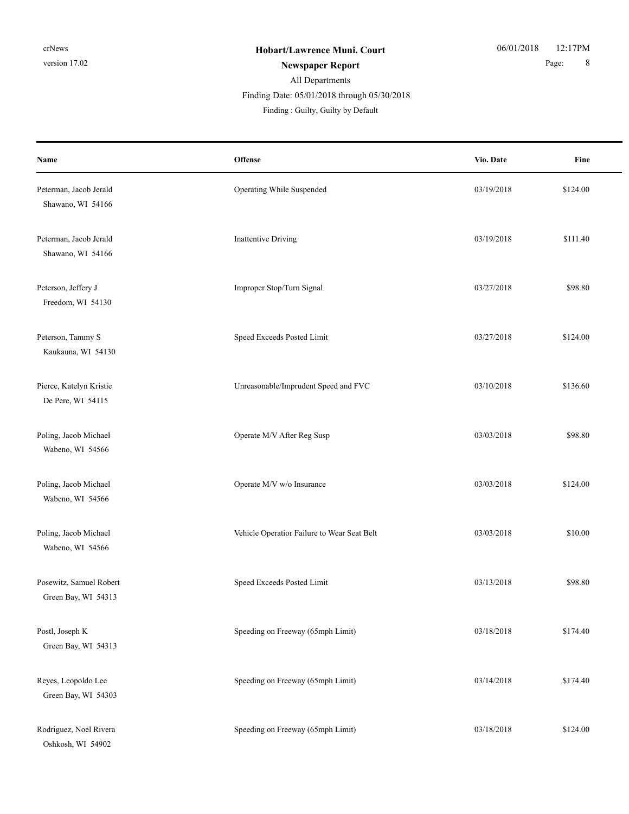| Name                                           | Offense                                     | Vio. Date  | Fine     |
|------------------------------------------------|---------------------------------------------|------------|----------|
| Peterman, Jacob Jerald<br>Shawano, WI 54166    | Operating While Suspended                   | 03/19/2018 | \$124.00 |
| Peterman, Jacob Jerald<br>Shawano, WI 54166    | Inattentive Driving                         | 03/19/2018 | \$111.40 |
| Peterson, Jeffery J<br>Freedom, WI 54130       | Improper Stop/Turn Signal                   | 03/27/2018 | \$98.80  |
| Peterson, Tammy S<br>Kaukauna, WI 54130        | Speed Exceeds Posted Limit                  | 03/27/2018 | \$124.00 |
| Pierce, Katelyn Kristie<br>De Pere, WI 54115   | Unreasonable/Imprudent Speed and FVC        | 03/10/2018 | \$136.60 |
| Poling, Jacob Michael<br>Wabeno, WI 54566      | Operate M/V After Reg Susp                  | 03/03/2018 | \$98.80  |
| Poling, Jacob Michael<br>Wabeno, WI 54566      | Operate M/V w/o Insurance                   | 03/03/2018 | \$124.00 |
| Poling, Jacob Michael<br>Wabeno, WI 54566      | Vehicle Operatior Failure to Wear Seat Belt | 03/03/2018 | \$10.00  |
| Posewitz, Samuel Robert<br>Green Bay, WI 54313 | Speed Exceeds Posted Limit                  | 03/13/2018 | \$98.80  |
| Postl, Joseph K<br>Green Bay, WI 54313         | Speeding on Freeway (65mph Limit)           | 03/18/2018 | \$174.40 |
| Reyes, Leopoldo Lee<br>Green Bay, WI 54303     | Speeding on Freeway (65mph Limit)           | 03/14/2018 | \$174.40 |
| Rodriguez, Noel Rivera<br>Oshkosh, WI 54902    | Speeding on Freeway (65mph Limit)           | 03/18/2018 | \$124.00 |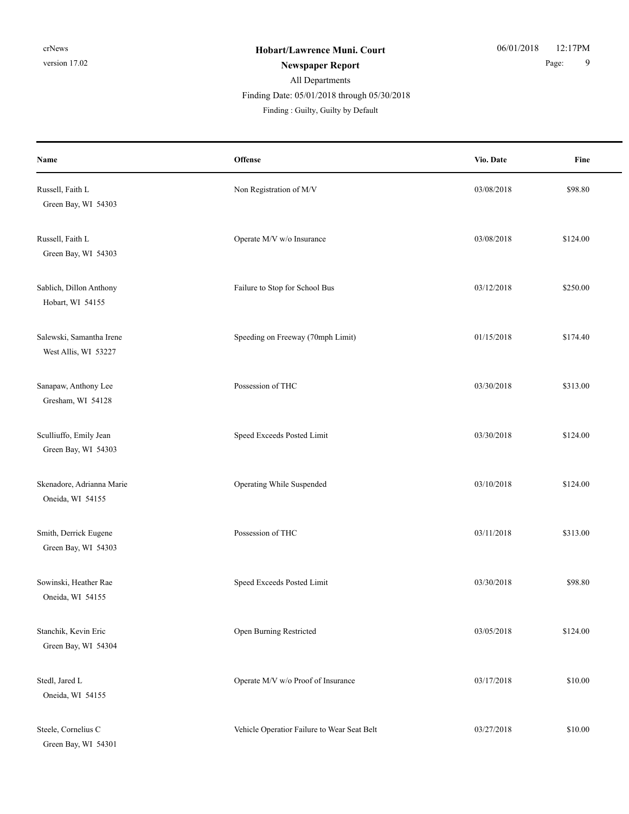| Name                                             | <b>Offense</b>                              | Vio. Date  | Fine     |
|--------------------------------------------------|---------------------------------------------|------------|----------|
| Russell, Faith L<br>Green Bay, WI 54303          | Non Registration of M/V                     | 03/08/2018 | \$98.80  |
| Russell, Faith L<br>Green Bay, WI 54303          | Operate M/V w/o Insurance                   | 03/08/2018 | \$124.00 |
| Sablich, Dillon Anthony<br>Hobart, WI 54155      | Failure to Stop for School Bus              | 03/12/2018 | \$250.00 |
| Salewski, Samantha Irene<br>West Allis, WI 53227 | Speeding on Freeway (70mph Limit)           | 01/15/2018 | \$174.40 |
| Sanapaw, Anthony Lee<br>Gresham, WI 54128        | Possession of THC                           | 03/30/2018 | \$313.00 |
| Sculliuffo, Emily Jean<br>Green Bay, WI 54303    | Speed Exceeds Posted Limit                  | 03/30/2018 | \$124.00 |
| Skenadore, Adrianna Marie<br>Oneida, WI 54155    | Operating While Suspended                   | 03/10/2018 | \$124.00 |
| Smith, Derrick Eugene<br>Green Bay, WI 54303     | Possession of THC                           | 03/11/2018 | \$313.00 |
| Sowinski, Heather Rae<br>Oneida, WI 54155        | Speed Exceeds Posted Limit                  | 03/30/2018 | \$98.80  |
| Stanchik, Kevin Eric<br>Green Bay, WI 54304      | Open Burning Restricted                     | 03/05/2018 | \$124.00 |
| Stedl, Jared L<br>Oneida, WI 54155               | Operate M/V w/o Proof of Insurance          | 03/17/2018 | \$10.00  |
| Steele, Cornelius C<br>Green Bay, WI 54301       | Vehicle Operatior Failure to Wear Seat Belt | 03/27/2018 | \$10.00  |